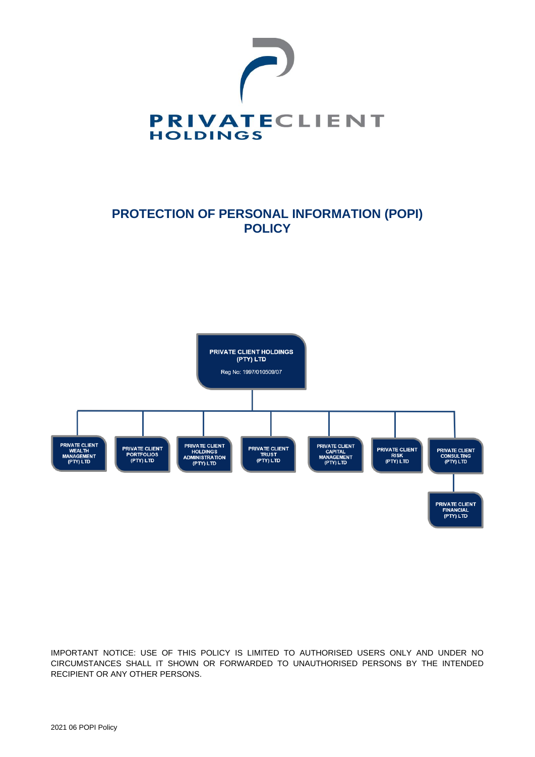

# **PROTECTION OF PERSONAL INFORMATION (POPI) POLICY**



IMPORTANT NOTICE: USE OF THIS POLICY IS LIMITED TO AUTHORISED USERS ONLY AND UNDER NO CIRCUMSTANCES SHALL IT SHOWN OR FORWARDED TO UNAUTHORISED PERSONS BY THE INTENDED RECIPIENT OR ANY OTHER PERSONS.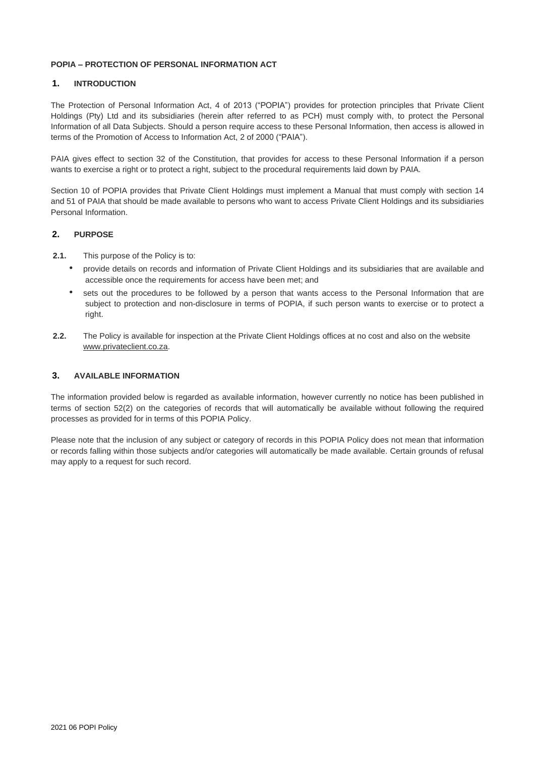## **POPIA – PROTECTION OF PERSONAL INFORMATION ACT**

# **1. INTRODUCTION**

The Protection of Personal Information Act, 4 of 2013 ("POPIA") provides for protection principles that Private Client Holdings (Pty) Ltd and its subsidiaries (herein after referred to as PCH) must comply with, to protect the Personal Information of all Data Subjects. Should a person require access to these Personal Information, then access is allowed in terms of the Promotion of Access to Information Act, 2 of 2000 ("PAIA").

PAIA gives effect to section 32 of the Constitution, that provides for access to these Personal Information if a person wants to exercise a right or to protect a right, subject to the procedural requirements laid down by PAIA.

Section 10 of POPIA provides that Private Client Holdings must implement a Manual that must comply with section 14 and 51 of PAIA that should be made available to persons who want to access Private Client Holdings and its subsidiaries Personal Information.

# **2. PURPOSE**

- **2.1.** This purpose of the Policy is to:
	- provide details on records and information of Private Client Holdings and its subsidiaries that are available and accessible once the requirements for access have been met; and
	- sets out the procedures to be followed by a person that wants access to the Personal Information that are subject to protection and non-disclosure in terms of POPIA, if such person wants to exercise or to protect a right.
- **2.2.** The Policy is available for inspection at the Private Client Holdings offices at no cost and also on the website [www.privateclient.co.za.](http://www.privateclient.co.za/)

## **3. AVAILABLE INFORMATION**

The information provided below is regarded as available information, however currently no notice has been published in terms of section 52(2) on the categories of records that will automatically be available without following the required processes as provided for in terms of this POPIA Policy.

Please note that the inclusion of any subject or category of records in this POPIA Policy does not mean that information or records falling within those subjects and/or categories will automatically be made available. Certain grounds of refusal may apply to a request for such record.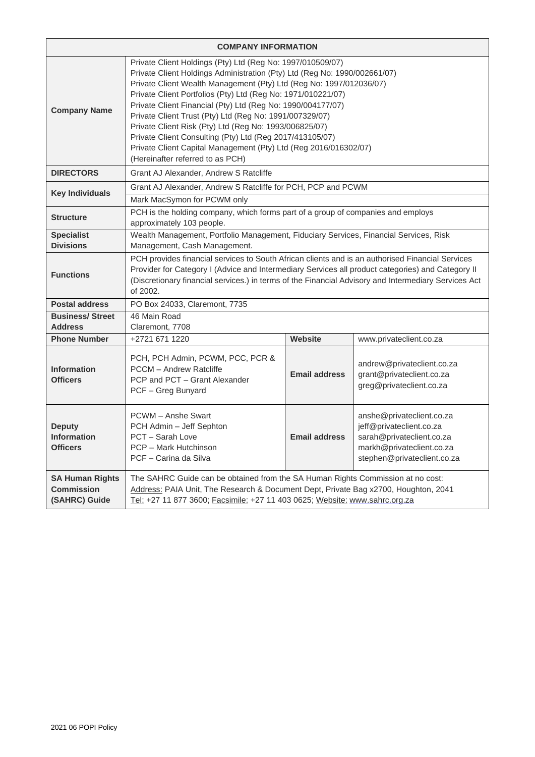| <b>COMPANY INFORMATION</b>                                   |                                                                                                                                                                                                                                                                                                                                                                                                                                                                                                                                                                                                                                        |                      |                                                                                                                                                |  |  |
|--------------------------------------------------------------|----------------------------------------------------------------------------------------------------------------------------------------------------------------------------------------------------------------------------------------------------------------------------------------------------------------------------------------------------------------------------------------------------------------------------------------------------------------------------------------------------------------------------------------------------------------------------------------------------------------------------------------|----------------------|------------------------------------------------------------------------------------------------------------------------------------------------|--|--|
| <b>Company Name</b>                                          | Private Client Holdings (Pty) Ltd (Reg No: 1997/010509/07)<br>Private Client Holdings Administration (Pty) Ltd (Reg No: 1990/002661/07)<br>Private Client Wealth Management (Pty) Ltd (Reg No: 1997/012036/07)<br>Private Client Portfolios (Pty) Ltd (Reg No: 1971/010221/07)<br>Private Client Financial (Pty) Ltd (Reg No: 1990/004177/07)<br>Private Client Trust (Pty) Ltd (Reg No: 1991/007329/07)<br>Private Client Risk (Pty) Ltd (Reg No: 1993/006825/07)<br>Private Client Consulting (Pty) Ltd (Reg 2017/413105/07)<br>Private Client Capital Management (Pty) Ltd (Reg 2016/016302/07)<br>(Hereinafter referred to as PCH) |                      |                                                                                                                                                |  |  |
| <b>DIRECTORS</b>                                             | Grant AJ Alexander, Andrew S Ratcliffe                                                                                                                                                                                                                                                                                                                                                                                                                                                                                                                                                                                                 |                      |                                                                                                                                                |  |  |
| <b>Key Individuals</b>                                       | Grant AJ Alexander, Andrew S Ratcliffe for PCH, PCP and PCWM                                                                                                                                                                                                                                                                                                                                                                                                                                                                                                                                                                           |                      |                                                                                                                                                |  |  |
| <b>Structure</b>                                             | Mark MacSymon for PCWM only<br>PCH is the holding company, which forms part of a group of companies and employs<br>approximately 103 people.                                                                                                                                                                                                                                                                                                                                                                                                                                                                                           |                      |                                                                                                                                                |  |  |
| <b>Specialist</b><br><b>Divisions</b>                        | Wealth Management, Portfolio Management, Fiduciary Services, Financial Services, Risk<br>Management, Cash Management.                                                                                                                                                                                                                                                                                                                                                                                                                                                                                                                  |                      |                                                                                                                                                |  |  |
| <b>Functions</b>                                             | PCH provides financial services to South African clients and is an authorised Financial Services<br>Provider for Category I (Advice and Intermediary Services all product categories) and Category II<br>(Discretionary financial services.) in terms of the Financial Advisory and Intermediary Services Act<br>of 2002.                                                                                                                                                                                                                                                                                                              |                      |                                                                                                                                                |  |  |
| <b>Postal address</b>                                        | PO Box 24033, Claremont, 7735                                                                                                                                                                                                                                                                                                                                                                                                                                                                                                                                                                                                          |                      |                                                                                                                                                |  |  |
| <b>Business/Street</b><br><b>Address</b>                     | 46 Main Road<br>Claremont, 7708                                                                                                                                                                                                                                                                                                                                                                                                                                                                                                                                                                                                        |                      |                                                                                                                                                |  |  |
| <b>Phone Number</b>                                          | Website<br>+2721 671 1220<br>www.privateclient.co.za                                                                                                                                                                                                                                                                                                                                                                                                                                                                                                                                                                                   |                      |                                                                                                                                                |  |  |
| <b>Information</b><br><b>Officers</b>                        | PCH, PCH Admin, PCWM, PCC, PCR &<br>PCCM - Andrew Ratcliffe<br>PCP and PCT - Grant Alexander<br>PCF - Greg Bunyard                                                                                                                                                                                                                                                                                                                                                                                                                                                                                                                     | <b>Email address</b> | andrew@privateclient.co.za<br>grant@privateclient.co.za<br>greg@privateclient.co.za                                                            |  |  |
| <b>Deputy</b><br><b>Information</b><br><b>Officers</b>       | PCWM - Anshe Swart<br>PCH Admin - Jeff Sephton<br>PCT - Sarah Love<br>PCP - Mark Hutchinson<br>PCF - Carina da Silva                                                                                                                                                                                                                                                                                                                                                                                                                                                                                                                   | <b>Email address</b> | anshe@privateclient.co.za<br>jeff@privateclient.co.za<br>sarah@privateclient.co.za<br>markh@privateclient.co.za<br>stephen@privateclient.co.za |  |  |
| <b>SA Human Rights</b><br><b>Commission</b><br>(SAHRC) Guide | The SAHRC Guide can be obtained from the SA Human Rights Commission at no cost:<br>Address: PAIA Unit, The Research & Document Dept, Private Bag x2700, Houghton, 2041<br>Tel: +27 11 877 3600; Facsimile: +27 11 403 0625; Website: www.sahrc.org.za                                                                                                                                                                                                                                                                                                                                                                                  |                      |                                                                                                                                                |  |  |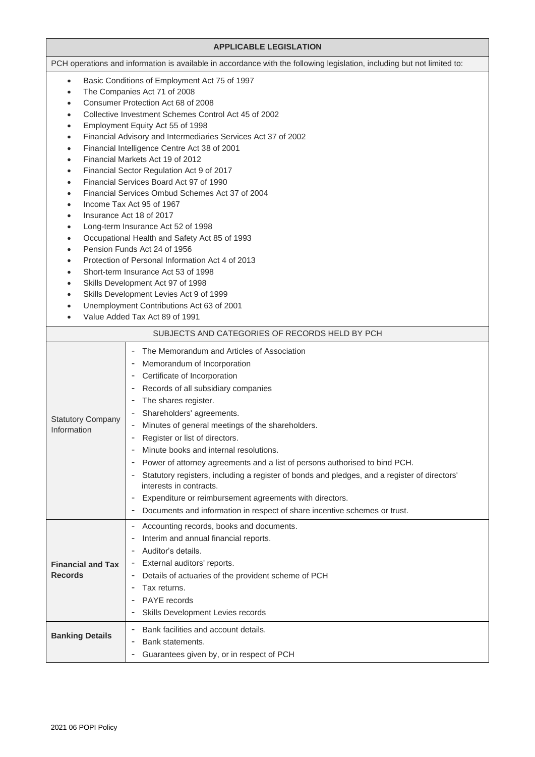| <b>APPLICABLE LEGISLATION</b>                                                                                                                                         |                                                                                                                                                                                                                                                                                                                                                                                                                                                                                                                                                                                                                                                                                                                                                                                                                                                                                                                                                           |  |  |
|-----------------------------------------------------------------------------------------------------------------------------------------------------------------------|-----------------------------------------------------------------------------------------------------------------------------------------------------------------------------------------------------------------------------------------------------------------------------------------------------------------------------------------------------------------------------------------------------------------------------------------------------------------------------------------------------------------------------------------------------------------------------------------------------------------------------------------------------------------------------------------------------------------------------------------------------------------------------------------------------------------------------------------------------------------------------------------------------------------------------------------------------------|--|--|
|                                                                                                                                                                       | PCH operations and information is available in accordance with the following legislation, including but not limited to:                                                                                                                                                                                                                                                                                                                                                                                                                                                                                                                                                                                                                                                                                                                                                                                                                                   |  |  |
| $\bullet$<br>$\bullet$<br>$\bullet$<br>$\bullet$<br>$\bullet$<br>$\bullet$<br>$\bullet$<br>$\bullet$<br>$\bullet$<br>$\bullet$<br>$\bullet$<br>$\bullet$<br>$\bullet$ | Basic Conditions of Employment Act 75 of 1997<br>The Companies Act 71 of 2008<br>Consumer Protection Act 68 of 2008<br>Collective Investment Schemes Control Act 45 of 2002<br>Employment Equity Act 55 of 1998<br>Financial Advisory and Intermediaries Services Act 37 of 2002<br>Financial Intelligence Centre Act 38 of 2001<br>Financial Markets Act 19 of 2012<br>Financial Sector Regulation Act 9 of 2017<br>Financial Services Board Act 97 of 1990<br>Financial Services Ombud Schemes Act 37 of 2004<br>Income Tax Act 95 of 1967<br>Insurance Act 18 of 2017<br>Long-term Insurance Act 52 of 1998<br>Occupational Health and Safety Act 85 of 1993<br>Pension Funds Act 24 of 1956<br>Protection of Personal Information Act 4 of 2013<br>Short-term Insurance Act 53 of 1998<br>Skills Development Act 97 of 1998<br>Skills Development Levies Act 9 of 1999<br>Unemployment Contributions Act 63 of 2001<br>Value Added Tax Act 89 of 1991 |  |  |
| SUBJECTS AND CATEGORIES OF RECORDS HELD BY PCH                                                                                                                        |                                                                                                                                                                                                                                                                                                                                                                                                                                                                                                                                                                                                                                                                                                                                                                                                                                                                                                                                                           |  |  |
| <b>Statutory Company</b><br>Information                                                                                                                               | The Memorandum and Articles of Association<br>Memorandum of Incorporation<br>Certificate of Incorporation<br>Records of all subsidiary companies<br>The shares register.<br>Shareholders' agreements.<br>Minutes of general meetings of the shareholders.<br>-<br>Register or list of directors.<br>Minute books and internal resolutions.<br>Power of attorney agreements and a list of persons authorised to bind PCH.<br>Statutory registers, including a register of bonds and pledges, and a register of directors'<br>interests in contracts.<br>Expenditure or reimbursement agreements with directors.<br>Documents and information in respect of share incentive schemes or trust.<br>-                                                                                                                                                                                                                                                          |  |  |
| <b>Financial and Tax</b><br><b>Records</b>                                                                                                                            | Accounting records, books and documents.<br>-<br>Interim and annual financial reports.<br>Auditor's details.<br>External auditors' reports.<br>Details of actuaries of the provident scheme of PCH<br>Tax returns.<br>PAYE records<br>Skills Development Levies records                                                                                                                                                                                                                                                                                                                                                                                                                                                                                                                                                                                                                                                                                   |  |  |
| <b>Banking Details</b>                                                                                                                                                | Bank facilities and account details.<br>Bank statements.<br>-<br>Guarantees given by, or in respect of PCH<br>$\overline{a}$                                                                                                                                                                                                                                                                                                                                                                                                                                                                                                                                                                                                                                                                                                                                                                                                                              |  |  |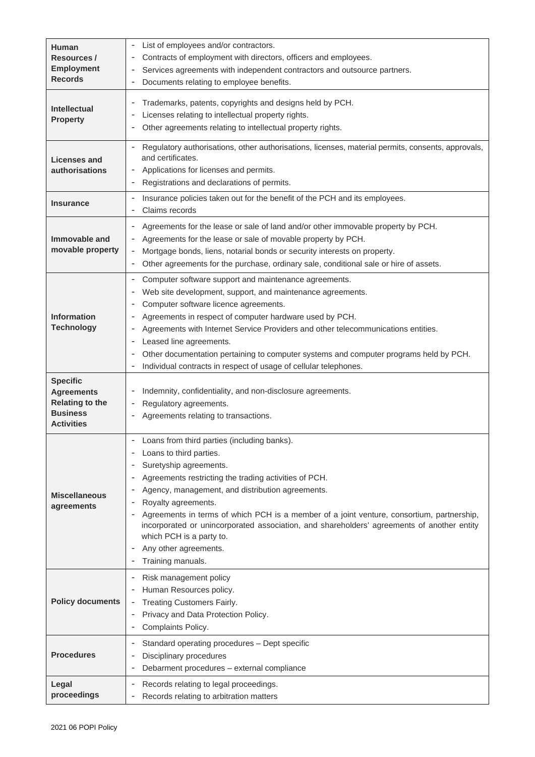| <b>Human</b><br>Resources /<br><b>Employment</b><br><b>Records</b>                                     | List of employees and/or contractors.<br>$\overline{\phantom{a}}$<br>Contracts of employment with directors, officers and employees.<br>Services agreements with independent contractors and outsource partners.<br>Documents relating to employee benefits.<br>٠                                                                                                                                                                                                                                           |  |  |  |
|--------------------------------------------------------------------------------------------------------|-------------------------------------------------------------------------------------------------------------------------------------------------------------------------------------------------------------------------------------------------------------------------------------------------------------------------------------------------------------------------------------------------------------------------------------------------------------------------------------------------------------|--|--|--|
| <b>Intellectual</b><br><b>Property</b>                                                                 | Trademarks, patents, copyrights and designs held by PCH.<br>Licenses relating to intellectual property rights.<br>Other agreements relating to intellectual property rights.<br>$\overline{\phantom{a}}$                                                                                                                                                                                                                                                                                                    |  |  |  |
| <b>Licenses and</b><br>authorisations                                                                  | Regulatory authorisations, other authorisations, licenses, material permits, consents, approvals,<br>and certificates.<br>Applications for licenses and permits.<br>Registrations and declarations of permits.<br>$\overline{\phantom{a}}$                                                                                                                                                                                                                                                                  |  |  |  |
| <b>Insurance</b>                                                                                       | Insurance policies taken out for the benefit of the PCH and its employees.<br>Claims records<br>$\overline{\phantom{a}}$                                                                                                                                                                                                                                                                                                                                                                                    |  |  |  |
| Immovable and<br>movable property                                                                      | Agreements for the lease or sale of land and/or other immovable property by PCH.<br>$\overline{\phantom{a}}$<br>Agreements for the lease or sale of movable property by PCH.<br>Mortgage bonds, liens, notarial bonds or security interests on property.<br>$\overline{\phantom{a}}$<br>Other agreements for the purchase, ordinary sale, conditional sale or hire of assets.<br>$\overline{\phantom{0}}$                                                                                                   |  |  |  |
| <b>Information</b><br><b>Technology</b>                                                                | Computer software support and maintenance agreements.<br>Web site development, support, and maintenance agreements.<br>Computer software licence agreements.<br>Agreements in respect of computer hardware used by PCH.<br>Agreements with Internet Service Providers and other telecommunications entities.<br>Leased line agreements.<br>Other documentation pertaining to computer systems and computer programs held by PCH.<br>Individual contracts in respect of usage of cellular telephones.<br>-   |  |  |  |
| <b>Specific</b><br><b>Agreements</b><br><b>Relating to the</b><br><b>Business</b><br><b>Activities</b> | Indemnity, confidentiality, and non-disclosure agreements.<br>Regulatory agreements.<br>Agreements relating to transactions.                                                                                                                                                                                                                                                                                                                                                                                |  |  |  |
| <b>Miscellaneous</b><br>agreements                                                                     | - Loans from third parties (including banks).<br>Loans to third parties.<br>Suretyship agreements.<br>Agreements restricting the trading activities of PCH.<br>Agency, management, and distribution agreements.<br>Royalty agreements.<br>Agreements in terms of which PCH is a member of a joint venture, consortium, partnership,<br>incorporated or unincorporated association, and shareholders' agreements of another entity<br>which PCH is a party to.<br>Any other agreements.<br>Training manuals. |  |  |  |
| <b>Policy documents</b>                                                                                | Risk management policy<br>٠<br>Human Resources policy.<br>Treating Customers Fairly.<br>Privacy and Data Protection Policy.<br>Complaints Policy.                                                                                                                                                                                                                                                                                                                                                           |  |  |  |
| <b>Procedures</b>                                                                                      | Standard operating procedures - Dept specific<br>$\overline{\phantom{a}}$<br>Disciplinary procedures<br>Debarment procedures - external compliance<br>٠                                                                                                                                                                                                                                                                                                                                                     |  |  |  |
| Legal<br>proceedings                                                                                   | Records relating to legal proceedings.<br>$\overline{\phantom{a}}$<br>Records relating to arbitration matters<br>-                                                                                                                                                                                                                                                                                                                                                                                          |  |  |  |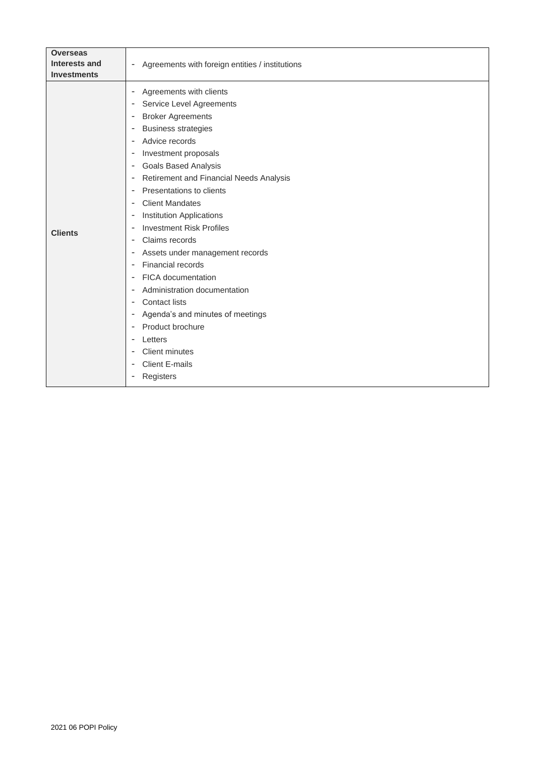| <b>Overseas</b>      |                                                                     |
|----------------------|---------------------------------------------------------------------|
| <b>Interests and</b> | - Agreements with foreign entities / institutions                   |
| <b>Investments</b>   |                                                                     |
| <b>Clients</b>       | Agreements with clients<br>$\overline{\phantom{a}}$                 |
|                      | Service Level Agreements<br>$\overline{\phantom{a}}$                |
|                      | <b>Broker Agreements</b><br>$\overline{\phantom{a}}$                |
|                      | <b>Business strategies</b><br>$\overline{\phantom{a}}$              |
|                      | Advice records<br>$\overline{\phantom{a}}$                          |
|                      | Investment proposals<br>$\overline{\phantom{a}}$                    |
|                      | <b>Goals Based Analysis</b><br>$\overline{\phantom{a}}$             |
|                      | Retirement and Financial Needs Analysis<br>$\overline{\phantom{a}}$ |
|                      | Presentations to clients<br>$\overline{\phantom{a}}$                |
|                      | <b>Client Mandates</b><br>$\overline{\phantom{a}}$                  |
|                      | <b>Institution Applications</b><br>$\overline{\phantom{a}}$         |
|                      | <b>Investment Risk Profiles</b><br>$\overline{\phantom{a}}$         |
|                      | Claims records<br>$\overline{\phantom{a}}$                          |
|                      | Assets under management records<br>$\overline{\phantom{a}}$         |
|                      | Financial records<br>$\overline{\phantom{a}}$                       |
|                      | <b>FICA</b> documentation<br>$\overline{\phantom{a}}$               |
|                      | Administration documentation<br>$\overline{\phantom{a}}$            |
|                      | <b>Contact lists</b><br>$\overline{\phantom{a}}$                    |
|                      | Agenda's and minutes of meetings<br>$\overline{\phantom{a}}$        |
|                      | Product brochure<br>$\overline{\phantom{a}}$                        |
|                      | Letters<br>$\overline{\phantom{a}}$                                 |
|                      | <b>Client minutes</b><br>$\overline{\phantom{a}}$                   |
|                      | <b>Client E-mails</b><br>$\overline{\phantom{a}}$                   |
|                      | Registers<br>$\overline{\phantom{a}}$                               |
|                      |                                                                     |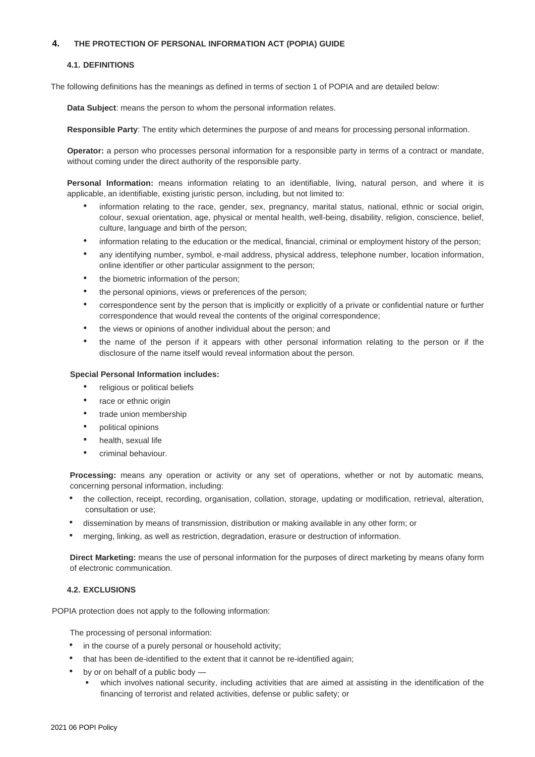## **4. THE PROTECTION OF PERSONAL INFORMATION ACT (POPIA) GUIDE**

### **4.1. DEFINITIONS**

The following definitions has the meanings as defined in terms of section 1 of POPIA and are detailed below:

**Data Subject**: means the person to whom the personal information relates.

**Responsible Party**: The entity which determines the purpose of and means for processing personal information.

**Operator:** a person who processes personal information for a responsible party in terms of a contract or mandate, without coming under the direct authority of the responsible party.

**Personal Information:** means information relating to an identifiable, living, natural person, and where it is applicable, an identifiable, existing juristic person, including, but not limited to:

- information relating to the race, gender, sex, pregnancy, marital status, national, ethnic or social origin, colour, sexual orientation, age, physical or mental health, well-being, disability, religion, conscience, belief, culture, language and birth of the person;
- information relating to the education or the medical, financial, criminal or employment history of the person;
- any identifying number, symbol, e-mail address, physical address, telephone number, location information, online identifier or other particular assignment to the person;
- the biometric information of the person;
- the personal opinions, views or preferences of the person;
- correspondence sent by the person that is implicitly or explicitly of a private or confidential nature or further correspondence that would reveal the contents of the original correspondence;
- the views or opinions of another individual about the person; and
- the name of the person if it appears with other personal information relating to the person or if the disclosure of the name itself would reveal information about the person.

### **Special Personal Information includes:**

- religious or political beliefs
- race or ethnic origin
- trade union membership
- political opinions
- health, sexual life
- criminal behaviour.

**Processing:** means any operation or activity or any set of operations, whether or not by automatic means, concerning personal information, including:

- the collection, receipt, recording, organisation, collation, storage, updating or modification, retrieval, alteration, consultation or use;
- dissemination by means of transmission, distribution or making available in any other form; or
- merging, linking, as well as restriction, degradation, erasure or destruction of information.

**Direct Marketing:** means the use of personal information for the purposes of direct marketing by means ofany form of electronic communication.

## **4.2. EXCLUSIONS**

POPIA protection does not apply to the following information:

The processing of personal information:

- in the course of a purely personal or household activity;
- that has been de-identified to the extent that it cannot be re-identified again;
- by or on behalf of a public body
	- which involves national security, including activities that are aimed at assisting in the identification of the financing of terrorist and related activities, defense or public safety; or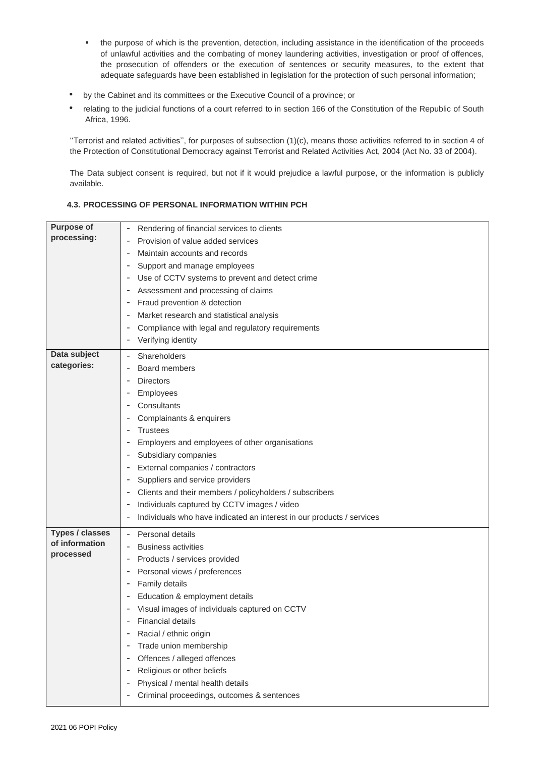- the purpose of which is the prevention, detection, including assistance in the identification of the proceeds of unlawful activities and the combating of money laundering activities, investigation or proof of offences, the prosecution of offenders or the execution of sentences or security measures, to the extent that adequate safeguards have been established in legislation for the protection of such personal information;
- by the Cabinet and its committees or the Executive Council of a province; or
- relating to the judicial functions of a court referred to in section 166 of the Constitution of the Republic of South Africa, 1996.

''Terrorist and related activities'', for purposes of subsection (1)(c), means those activities referred to in section 4 of the Protection of Constitutional Democracy against Terrorist and Related Activities Act, 2004 (Act No. 33 of 2004).

The Data subject consent is required, but not if it would prejudice a lawful purpose, or the information is publicly available.

# **4.3. PROCESSING OF PERSONAL INFORMATION WITHIN PCH**

| <b>Purpose of</b>      | Rendering of financial services to clients                            |
|------------------------|-----------------------------------------------------------------------|
| processing:            | Provision of value added services                                     |
|                        | Maintain accounts and records                                         |
|                        | Support and manage employees                                          |
|                        | Use of CCTV systems to prevent and detect crime                       |
|                        | Assessment and processing of claims                                   |
|                        | Fraud prevention & detection                                          |
|                        | Market research and statistical analysis                              |
|                        | Compliance with legal and regulatory requirements                     |
|                        | Verifying identity                                                    |
| Data subject           | Shareholders                                                          |
| categories:            | Board members                                                         |
|                        | <b>Directors</b>                                                      |
|                        | Employees                                                             |
|                        | Consultants                                                           |
|                        | Complainants & enquirers                                              |
|                        | <b>Trustees</b>                                                       |
|                        | Employers and employees of other organisations                        |
|                        | Subsidiary companies                                                  |
|                        | External companies / contractors                                      |
|                        | Suppliers and service providers                                       |
|                        | Clients and their members / policyholders / subscribers               |
|                        | Individuals captured by CCTV images / video                           |
|                        | Individuals who have indicated an interest in our products / services |
| <b>Types / classes</b> | Personal details                                                      |
| of information         | <b>Business activities</b>                                            |
| processed              | Products / services provided                                          |
|                        | Personal views / preferences                                          |
|                        | Family details                                                        |
|                        | Education & employment details                                        |
|                        | Visual images of individuals captured on CCTV                         |
|                        | <b>Financial details</b>                                              |
|                        | Racial / ethnic origin                                                |
|                        | Trade union membership                                                |
|                        | Offences / alleged offences                                           |
|                        | Religious or other beliefs                                            |
|                        | Physical / mental health details                                      |
|                        | Criminal proceedings, outcomes & sentences                            |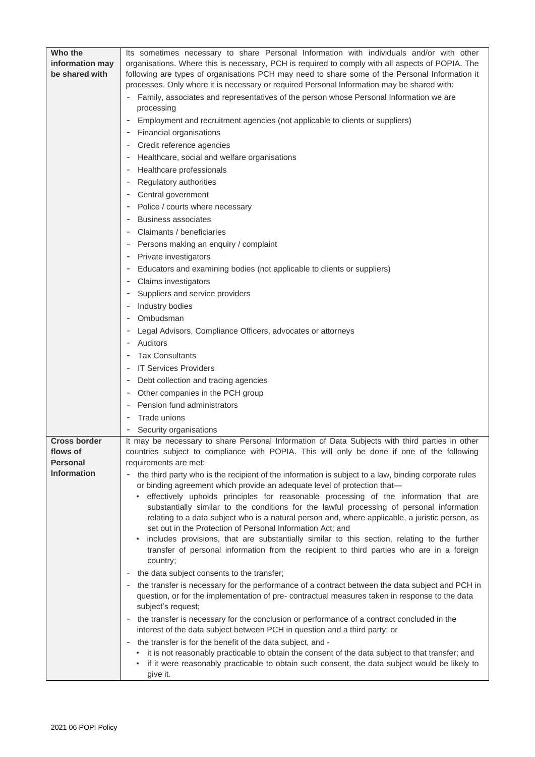| Its sometimes necessary to share Personal Information with individuals and/or with other<br>information may<br>organisations. Where this is necessary, PCH is required to comply with all aspects of POPIA. The<br>be shared with<br>following are types of organisations PCH may need to share some of the Personal Information it<br>processes. Only where it is necessary or required Personal Information may be shared with:<br>Family, associates and representatives of the person whose Personal Information we are<br>processing<br>Employment and recruitment agencies (not applicable to clients or suppliers)<br>Financial organisations<br>Credit reference agencies<br>Healthcare, social and welfare organisations<br>Healthcare professionals<br>Regulatory authorities<br>Central government<br>Police / courts where necessary<br><b>Business associates</b> |
|--------------------------------------------------------------------------------------------------------------------------------------------------------------------------------------------------------------------------------------------------------------------------------------------------------------------------------------------------------------------------------------------------------------------------------------------------------------------------------------------------------------------------------------------------------------------------------------------------------------------------------------------------------------------------------------------------------------------------------------------------------------------------------------------------------------------------------------------------------------------------------|
|                                                                                                                                                                                                                                                                                                                                                                                                                                                                                                                                                                                                                                                                                                                                                                                                                                                                                |
|                                                                                                                                                                                                                                                                                                                                                                                                                                                                                                                                                                                                                                                                                                                                                                                                                                                                                |
|                                                                                                                                                                                                                                                                                                                                                                                                                                                                                                                                                                                                                                                                                                                                                                                                                                                                                |
|                                                                                                                                                                                                                                                                                                                                                                                                                                                                                                                                                                                                                                                                                                                                                                                                                                                                                |
|                                                                                                                                                                                                                                                                                                                                                                                                                                                                                                                                                                                                                                                                                                                                                                                                                                                                                |
|                                                                                                                                                                                                                                                                                                                                                                                                                                                                                                                                                                                                                                                                                                                                                                                                                                                                                |
|                                                                                                                                                                                                                                                                                                                                                                                                                                                                                                                                                                                                                                                                                                                                                                                                                                                                                |
|                                                                                                                                                                                                                                                                                                                                                                                                                                                                                                                                                                                                                                                                                                                                                                                                                                                                                |
|                                                                                                                                                                                                                                                                                                                                                                                                                                                                                                                                                                                                                                                                                                                                                                                                                                                                                |
|                                                                                                                                                                                                                                                                                                                                                                                                                                                                                                                                                                                                                                                                                                                                                                                                                                                                                |
|                                                                                                                                                                                                                                                                                                                                                                                                                                                                                                                                                                                                                                                                                                                                                                                                                                                                                |
|                                                                                                                                                                                                                                                                                                                                                                                                                                                                                                                                                                                                                                                                                                                                                                                                                                                                                |
|                                                                                                                                                                                                                                                                                                                                                                                                                                                                                                                                                                                                                                                                                                                                                                                                                                                                                |
|                                                                                                                                                                                                                                                                                                                                                                                                                                                                                                                                                                                                                                                                                                                                                                                                                                                                                |
|                                                                                                                                                                                                                                                                                                                                                                                                                                                                                                                                                                                                                                                                                                                                                                                                                                                                                |
| Claimants / beneficiaries                                                                                                                                                                                                                                                                                                                                                                                                                                                                                                                                                                                                                                                                                                                                                                                                                                                      |
| Persons making an enquiry / complaint                                                                                                                                                                                                                                                                                                                                                                                                                                                                                                                                                                                                                                                                                                                                                                                                                                          |
| Private investigators                                                                                                                                                                                                                                                                                                                                                                                                                                                                                                                                                                                                                                                                                                                                                                                                                                                          |
| Educators and examining bodies (not applicable to clients or suppliers)                                                                                                                                                                                                                                                                                                                                                                                                                                                                                                                                                                                                                                                                                                                                                                                                        |
| Claims investigators                                                                                                                                                                                                                                                                                                                                                                                                                                                                                                                                                                                                                                                                                                                                                                                                                                                           |
| Suppliers and service providers                                                                                                                                                                                                                                                                                                                                                                                                                                                                                                                                                                                                                                                                                                                                                                                                                                                |
| Industry bodies                                                                                                                                                                                                                                                                                                                                                                                                                                                                                                                                                                                                                                                                                                                                                                                                                                                                |
| Ombudsman                                                                                                                                                                                                                                                                                                                                                                                                                                                                                                                                                                                                                                                                                                                                                                                                                                                                      |
| Legal Advisors, Compliance Officers, advocates or attorneys                                                                                                                                                                                                                                                                                                                                                                                                                                                                                                                                                                                                                                                                                                                                                                                                                    |
| <b>Auditors</b>                                                                                                                                                                                                                                                                                                                                                                                                                                                                                                                                                                                                                                                                                                                                                                                                                                                                |
| <b>Tax Consultants</b>                                                                                                                                                                                                                                                                                                                                                                                                                                                                                                                                                                                                                                                                                                                                                                                                                                                         |
| <b>IT Services Providers</b>                                                                                                                                                                                                                                                                                                                                                                                                                                                                                                                                                                                                                                                                                                                                                                                                                                                   |
| Debt collection and tracing agencies                                                                                                                                                                                                                                                                                                                                                                                                                                                                                                                                                                                                                                                                                                                                                                                                                                           |
| Other companies in the PCH group                                                                                                                                                                                                                                                                                                                                                                                                                                                                                                                                                                                                                                                                                                                                                                                                                                               |
| Pension fund administrators                                                                                                                                                                                                                                                                                                                                                                                                                                                                                                                                                                                                                                                                                                                                                                                                                                                    |
| Trade unions                                                                                                                                                                                                                                                                                                                                                                                                                                                                                                                                                                                                                                                                                                                                                                                                                                                                   |
| Security organisations                                                                                                                                                                                                                                                                                                                                                                                                                                                                                                                                                                                                                                                                                                                                                                                                                                                         |
| It may be necessary to share Personal Information of Data Subjects with third parties in other<br><b>Cross border</b>                                                                                                                                                                                                                                                                                                                                                                                                                                                                                                                                                                                                                                                                                                                                                          |
| countries subject to compliance with POPIA. This will only be done if one of the following<br>flows of                                                                                                                                                                                                                                                                                                                                                                                                                                                                                                                                                                                                                                                                                                                                                                         |
| Personal<br>requirements are met:                                                                                                                                                                                                                                                                                                                                                                                                                                                                                                                                                                                                                                                                                                                                                                                                                                              |
| <b>Information</b><br>- the third party who is the recipient of the information is subject to a law, binding corporate rules<br>or binding agreement which provide an adequate level of protection that-                                                                                                                                                                                                                                                                                                                                                                                                                                                                                                                                                                                                                                                                       |
| effectively upholds principles for reasonable processing of the information that are                                                                                                                                                                                                                                                                                                                                                                                                                                                                                                                                                                                                                                                                                                                                                                                           |
| substantially similar to the conditions for the lawful processing of personal information                                                                                                                                                                                                                                                                                                                                                                                                                                                                                                                                                                                                                                                                                                                                                                                      |
| relating to a data subject who is a natural person and, where applicable, a juristic person, as                                                                                                                                                                                                                                                                                                                                                                                                                                                                                                                                                                                                                                                                                                                                                                                |
| set out in the Protection of Personal Information Act; and                                                                                                                                                                                                                                                                                                                                                                                                                                                                                                                                                                                                                                                                                                                                                                                                                     |
| includes provisions, that are substantially similar to this section, relating to the further<br>$\bullet$<br>transfer of personal information from the recipient to third parties who are in a foreign                                                                                                                                                                                                                                                                                                                                                                                                                                                                                                                                                                                                                                                                         |
| country;                                                                                                                                                                                                                                                                                                                                                                                                                                                                                                                                                                                                                                                                                                                                                                                                                                                                       |
| the data subject consents to the transfer;                                                                                                                                                                                                                                                                                                                                                                                                                                                                                                                                                                                                                                                                                                                                                                                                                                     |
| the transfer is necessary for the performance of a contract between the data subject and PCH in                                                                                                                                                                                                                                                                                                                                                                                                                                                                                                                                                                                                                                                                                                                                                                                |
| question, or for the implementation of pre- contractual measures taken in response to the data<br>subject's request;                                                                                                                                                                                                                                                                                                                                                                                                                                                                                                                                                                                                                                                                                                                                                           |
| the transfer is necessary for the conclusion or performance of a contract concluded in the<br>$\overline{\phantom{a}}$                                                                                                                                                                                                                                                                                                                                                                                                                                                                                                                                                                                                                                                                                                                                                         |
| interest of the data subject between PCH in question and a third party; or                                                                                                                                                                                                                                                                                                                                                                                                                                                                                                                                                                                                                                                                                                                                                                                                     |
| the transfer is for the benefit of the data subject, and -<br>$\overline{\phantom{a}}$                                                                                                                                                                                                                                                                                                                                                                                                                                                                                                                                                                                                                                                                                                                                                                                         |
| • it is not reasonably practicable to obtain the consent of the data subject to that transfer; and                                                                                                                                                                                                                                                                                                                                                                                                                                                                                                                                                                                                                                                                                                                                                                             |
| if it were reasonably practicable to obtain such consent, the data subject would be likely to<br>give it.                                                                                                                                                                                                                                                                                                                                                                                                                                                                                                                                                                                                                                                                                                                                                                      |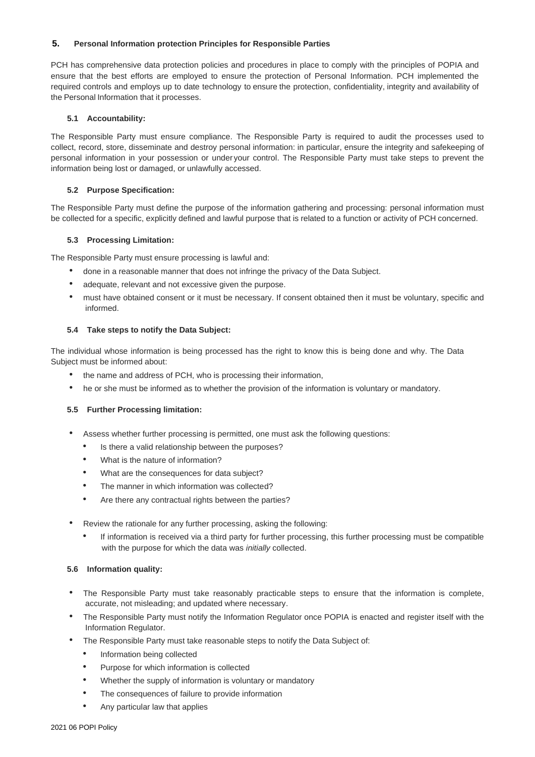## **5. Personal Information protection Principles for Responsible Parties**

PCH has comprehensive data protection policies and procedures in place to comply with the principles of POPIA and ensure that the best efforts are employed to ensure the protection of Personal Information. PCH implemented the required controls and employs up to date technology to ensure the protection, confidentiality, integrity and availability of the Personal Information that it processes.

### **5.1 Accountability:**

The Responsible Party must ensure compliance. The Responsible Party is required to audit the processes used to collect, record, store, disseminate and destroy personal information: in particular, ensure the integrity and safekeeping of personal information in your possession or under your control. The Responsible Party must take steps to prevent the information being lost or damaged, or unlawfully accessed.

#### **5.2 Purpose Specification:**

The Responsible Party must define the purpose of the information gathering and processing: personal information must be collected for a specific, explicitly defined and lawful purpose that is related to a function or activity of PCH concerned.

### **5.3 Processing Limitation:**

The Responsible Party must ensure processing is lawful and:

- done in a reasonable manner that does not infringe the privacy of the Data Subject.
- adequate, relevant and not excessive given the purpose.
- must have obtained consent or it must be necessary. If consent obtained then it must be voluntary, specific and informed.

### **5.4 Take steps to notify the Data Subject:**

The individual whose information is being processed has the right to know this is being done and why. The Data Subject must be informed about:

- the name and address of PCH, who is processing their information,
- he or she must be informed as to whether the provision of the information is voluntary or mandatory.

#### **5.5 Further Processing limitation:**

- Assess whether further processing is permitted, one must ask the following questions:
	- Is there a valid relationship between the purposes?
	- What is the nature of information?
	- What are the consequences for data subject?
	- The manner in which information was collected?
	- Are there any contractual rights between the parties?
- Review the rationale for any further processing, asking the following:
	- If information is received via a third party for further processing, this further processing must be compatible with the purpose for which the data was *initially* collected.

#### **5.6 Information quality:**

- The Responsible Party must take reasonably practicable steps to ensure that the information is complete, accurate, not misleading; and updated where necessary.
- The Responsible Party must notify the Information Regulator once POPIA is enacted and register itself with the Information Regulator.
- The Responsible Party must take reasonable steps to notify the Data Subject of:
	- Information being collected
	- Purpose for which information is collected
	- Whether the supply of information is voluntary or mandatory
	- The consequences of failure to provide information
	- Any particular law that applies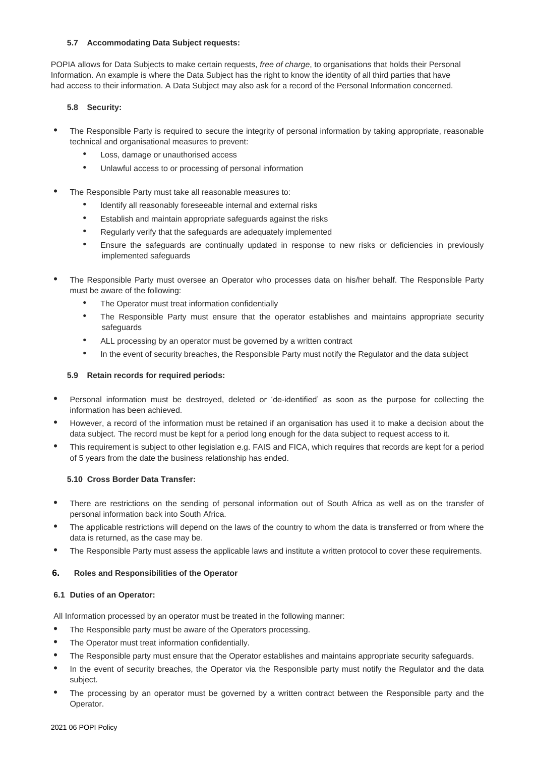## **5.7 Accommodating Data Subject requests:**

POPIA allows for Data Subjects to make certain requests, *free of charge*, to organisations that holds their Personal Information. An example is where the Data Subject has the right to know the identity of all third parties that have had access to their information. A Data Subject may also ask for a record of the Personal Information concerned.

# **5.8 Security:**

- The Responsible Party is required to secure the integrity of personal information by taking appropriate, reasonable technical and organisational measures to prevent:
	- Loss, damage or unauthorised access
	- Unlawful access to or processing of personal information
- **•** The Responsible Party must take all reasonable measures to:
	- Identify all reasonably foreseeable internal and external risks
	- Establish and maintain appropriate safeguards against the risks
	- Regularly verify that the safeguards are adequately implemented
	- Ensure the safeguards are continually updated in response to new risks or deficiencies in previously implemented safeguards
- **•** The Responsible Party must oversee an Operator who processes data on his/her behalf. The Responsible Party must be aware of the following:
	- The Operator must treat information confidentially
	- The Responsible Party must ensure that the operator establishes and maintains appropriate security safeguards
	- ALL processing by an operator must be governed by a written contract
	- In the event of security breaches, the Responsible Party must notify the Regulator and the data subject

# **5.9 Retain records for required periods:**

- **•** Personal information must be destroyed, deleted or 'de-identified' as soon as the purpose for collecting the information has been achieved.
- **•** However, a record of the information must be retained if an organisation has used it to make a decision about the data subject. The record must be kept for a period long enough for the data subject to request access to it.
- **•** This requirement is subject to other legislation e.g. FAIS and FICA, which requires that records are kept for a period of 5 years from the date the business relationship has ended.

## **5.10 Cross Border Data Transfer:**

- **•** There are restrictions on the sending of personal information out of South Africa as well as on the transfer of personal information back into South Africa.
- The applicable restrictions will depend on the laws of the country to whom the data is transferred or from where the data is returned, as the case may be.
- **•** The Responsible Party must assess the applicable laws and institute a written protocol to cover these requirements.

## **6. Roles and Responsibilities of the Operator**

## **6.1 Duties of an Operator:**

All Information processed by an operator must be treated in the following manner:

- **•** The Responsible party must be aware of the Operators processing.
- **•** The Operator must treat information confidentially.
- **•** The Responsible party must ensure that the Operator establishes and maintains appropriate security safeguards.
- **•** In the event of security breaches, the Operator via the Responsible party must notify the Regulator and the data subject.
- **•** The processing by an operator must be governed by a written contract between the Responsible party and the Operator.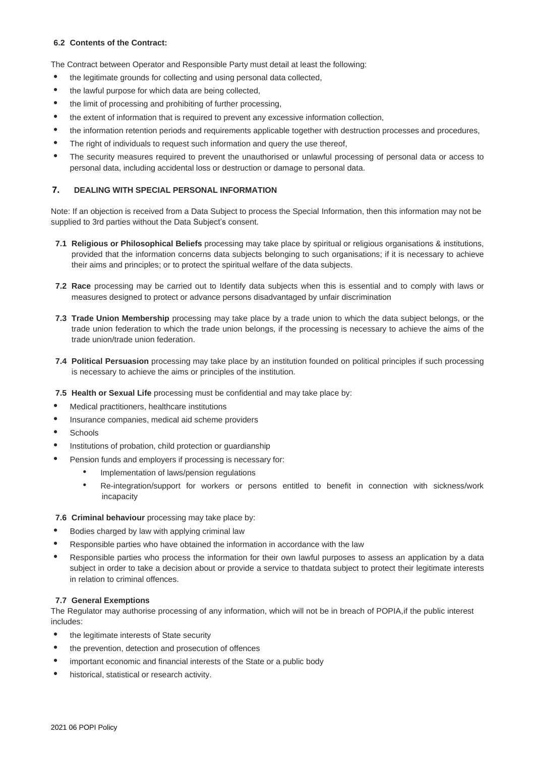## **6.2 Contents of the Contract:**

The Contract between Operator and Responsible Party must detail at least the following:

- **•** the legitimate grounds for collecting and using personal data collected,
- **•** the lawful purpose for which data are being collected,
- **•** the limit of processing and prohibiting of further processing,
- **•** the extent of information that is required to prevent any excessive information collection,
- the information retention periods and requirements applicable together with destruction processes and procedures,
- **•** The right of individuals to request such information and query the use thereof,
- **•** The security measures required to prevent the unauthorised or unlawful processing of personal data or access to personal data, including accidental loss or destruction or damage to personal data.

# **7. DEALING WITH SPECIAL PERSONAL INFORMATION**

Note: If an objection is received from a Data Subject to process the Special Information, then this information may not be supplied to 3rd parties without the Data Subject's consent.

- **7.1 Religious or Philosophical Beliefs** processing may take place by spiritual or religious organisations & institutions, provided that the information concerns data subjects belonging to such organisations; if it is necessary to achieve their aims and principles; or to protect the spiritual welfare of the data subjects.
- **7.2 Race** processing may be carried out to Identify data subjects when this is essential and to comply with laws or measures designed to protect or advance persons disadvantaged by unfair discrimination
- **7.3 Trade Union Membership** processing may take place by a trade union to which the data subject belongs, or the trade union federation to which the trade union belongs, if the processing is necessary to achieve the aims of the trade union/trade union federation.
- **7.4 Political Persuasion** processing may take place by an institution founded on political principles if such processing is necessary to achieve the aims or principles of the institution.
- **7.5 Health or Sexual Life** processing must be confidential and may take place by:
- **•** Medical practitioners, healthcare institutions
- **•** Insurance companies, medical aid scheme providers
- **•** Schools
- **•** Institutions of probation, child protection or guardianship
- **•** Pension funds and employers if processing is necessary for:
	- Implementation of laws/pension regulations
	- Re-integration/support for workers or persons entitled to benefit in connection with sickness/work incapacity

## **7.6 Criminal behaviour** processing may take place by:

- **•** Bodies charged by law with applying criminal law
- **•** Responsible parties who have obtained the information in accordance with the law
- **•** Responsible parties who process the information for their own lawful purposes to assess an application by a data subject in order to take a decision about or provide a service to thatdata subject to protect their legitimate interests in relation to criminal offences.

## **7.7 General Exemptions**

The Regulator may authorise processing of any information, which will not be in breach of POPIA,if the public interest includes:

- **•** the legitimate interests of State security
- **•** the prevention, detection and prosecution of offences
- **•** important economic and financial interests of the State or a public body
- **•** historical, statistical or research activity.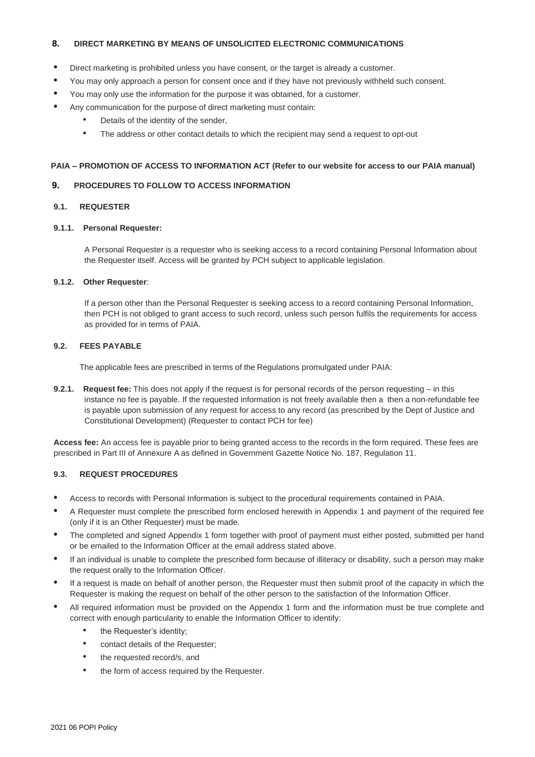## **8. DIRECT MARKETING BY MEANS OF UNSOLICITED ELECTRONIC COMMUNICATIONS**

- **•** Direct marketing is prohibited unless you have consent, or the target is already a customer.
- **•** You may only approach a person for consent once and if they have not previously withheld such consent.
- **•** You may only use the information for the purpose it was obtained, for a customer.
- **•** Any communication for the purpose of direct marketing must contain:
	- Details of the identity of the sender,
	- The address or other contact details to which the recipient may send a request to opt-out

## **PAIA – PROMOTION OF ACCESS TO INFORMATION ACT (Refer to our website for access to our PAIA manual)**

### **9. PROCEDURES TO FOLLOW TO ACCESS INFORMATION**

## **9.1. REQUESTER**

## **9.1.1. Personal Requester:**

A Personal Requester is a requester who is seeking access to a record containing Personal Information about the Requester itself. Access will be granted by PCH subject to applicable legislation.

### **9.1.2. Other Requester**:

If a person other than the Personal Requester is seeking access to a record containing Personal Information, then PCH is not obliged to grant access to such record, unless such person fulfils the requirements for access as provided for in terms of PAIA.

### **9.2. FEES PAYABLE**

The applicable fees are prescribed in terms of the Regulations promulgated under PAIA:

**9.2.1. Request fee:** This does not apply if the request is for personal records of the person requesting – in this instance no fee is payable. If the requested information is not freely available then a then a non-refundable fee is payable upon submission of any request for access to any record (as prescribed by the Dept of Justice and Constitutional Development) (Requester to contact PCH for fee)

**Access fee:** An access fee is payable prior to being granted access to the records in the form required. These fees are prescribed in Part III of Annexure A as defined in Government Gazette Notice No. 187, Regulation 11.

#### **9.3. REQUEST PROCEDURES**

- **•** Access to records with Personal Information is subject to the procedural requirements contained in PAIA.
- **•** A Requester must complete the prescribed form enclosed herewith in Appendix 1 and payment of the required fee (only if it is an Other Requester) must be made.
- **•** The completed and signed Appendix 1 form together with proof of payment must either posted, submitted per hand or be emailed to the Information Officer at the email address stated above.
- **•** If an individual is unable to complete the prescribed form because of illiteracy or disability, such a person may make the request orally to the Information Officer.
- **•** If a request is made on behalf of another person, the Requester must then submit proof of the capacity in which the Requester is making the request on behalf of the other person to the satisfaction of the Information Officer.
- **•** All required information must be provided on the Appendix 1 form and the information must be true complete and correct with enough particularity to enable the Information Officer to identify:
	- the Requester's identity;
	- contact details of the Requester;
	- the requested record/s, and
	- the form of access required by the Requester.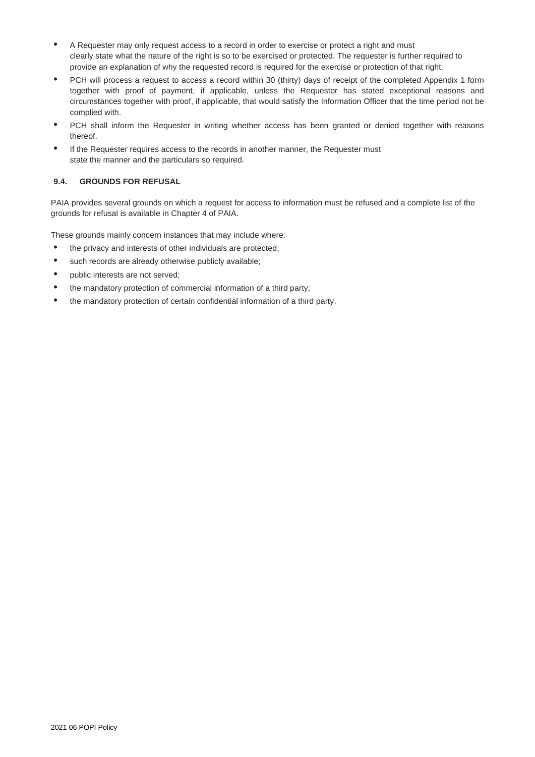- A Requester may only request access to a record in order to exercise or protect a right and must clearly state what the nature of the right is so to be exercised or protected. The requester is further required to provide an explanation of why the requested record is required for the exercise or protection of that right.
- **•** PCH will process a request to access a record within 30 (thirty) days of receipt of the completed Appendix 1 form together with proof of payment, if applicable, unless the Requestor has stated exceptional reasons and circumstances together with proof, if applicable, that would satisfy the Information Officer that the time period not be complied with.
- **•** PCH shall inform the Requester in writing whether access has been granted or denied together with reasons thereof.
- **•** If the Requester requires access to the records in another manner, the Requester must state the manner and the particulars so required.

# **9.4. GROUNDS FOR REFUSAL**

PAIA provides several grounds on which a request for access to information must be refused and a complete list of the grounds for refusal is available in Chapter 4 of PAIA.

These grounds mainly concern instances that may include where:

- **•** the privacy and interests of other individuals are protected;
- **•** such records are already otherwise publicly available;
- **•** public interests are not served;
- **•** the mandatory protection of commercial information of a third party;
- **•** the mandatory protection of certain confidential information of a third party.